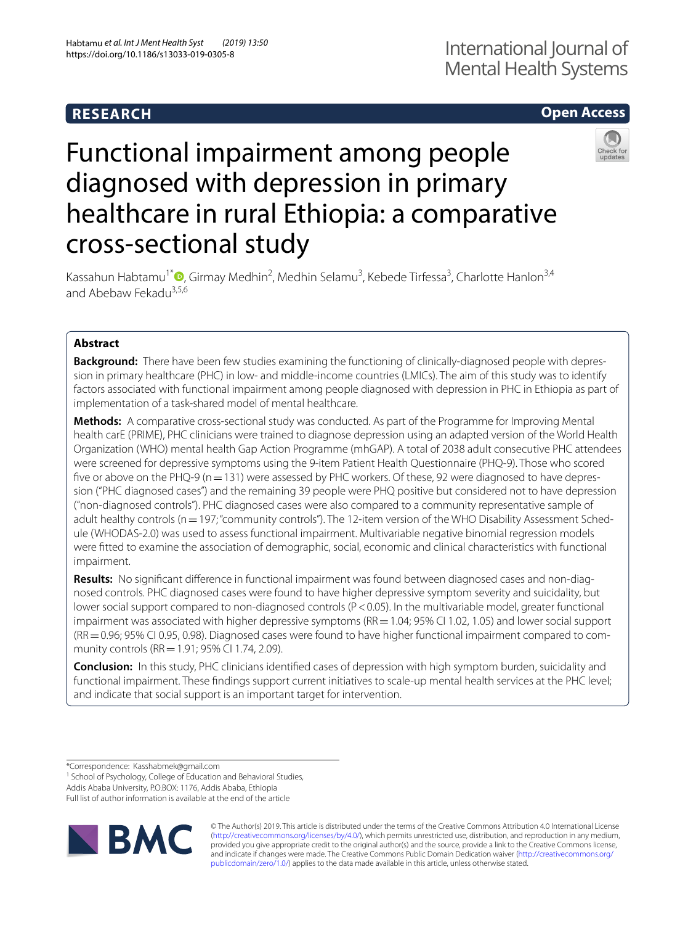# **RESEARCH**

# **Open Access**

# Functional impairment among people diagnosed with depression in primary healthcare in rural Ethiopia: a comparative cross-sectional study



Kassahun Habtamu<sup>1[\\*](http://orcid.org/0000-0001-8619-9388)</sup><sup>®</sup>, Girmay Medhin<sup>2</sup>, Medhin Selamu<sup>3</sup>, Kebede Tirfessa<sup>3</sup>, Charlotte Hanlon<sup>3,4</sup> and Abebaw Fekadu<sup>3,5,6</sup>

# **Abstract**

**Background:** There have been few studies examining the functioning of clinically-diagnosed people with depression in primary healthcare (PHC) in low- and middle-income countries (LMICs). The aim of this study was to identify factors associated with functional impairment among people diagnosed with depression in PHC in Ethiopia as part of implementation of a task-shared model of mental healthcare.

**Methods:** A comparative cross-sectional study was conducted. As part of the Programme for Improving Mental health carE (PRIME), PHC clinicians were trained to diagnose depression using an adapted version of the World Health Organization (WHO) mental health Gap Action Programme (mhGAP). A total of 2038 adult consecutive PHC attendees were screened for depressive symptoms using the 9-item Patient Health Questionnaire (PHQ-9). Those who scored five or above on the PHQ-9 (n = 131) were assessed by PHC workers. Of these, 92 were diagnosed to have depression ("PHC diagnosed cases") and the remaining 39 people were PHQ positive but considered not to have depression ("non-diagnosed controls"). PHC diagnosed cases were also compared to a community representative sample of adult healthy controls (n=197; "community controls"). The 12-item version of the WHO Disability Assessment Schedule (WHODAS-2.0) was used to assess functional impairment. Multivariable negative binomial regression models were ftted to examine the association of demographic, social, economic and clinical characteristics with functional impairment.

**Results:** No signifcant diference in functional impairment was found between diagnosed cases and non-diagnosed controls. PHC diagnosed cases were found to have higher depressive symptom severity and suicidality, but lower social support compared to non-diagnosed controls  $(P < 0.05)$ . In the multivariable model, greater functional impairment was associated with higher depressive symptoms (RR = 1.04; 95% CI 1.02, 1.05) and lower social support (RR=0.96; 95% CI 0.95, 0.98). Diagnosed cases were found to have higher functional impairment compared to community controls (RR = 1.91; 95% CI 1.74, 2.09).

**Conclusion:** In this study, PHC clinicians identifed cases of depression with high symptom burden, suicidality and functional impairment. These fndings support current initiatives to scale-up mental health services at the PHC level; and indicate that social support is an important target for intervention.

\*Correspondence: Kasshabmek@gmail.com

<sup>1</sup> School of Psychology, College of Education and Behavioral Studies,

Addis Ababa University, P.O.BOX: 1176, Addis Ababa, Ethiopia

Full list of author information is available at the end of the article



© The Author(s) 2019. This article is distributed under the terms of the Creative Commons Attribution 4.0 International License [\(http://creativecommons.org/licenses/by/4.0/\)](http://creativecommons.org/licenses/by/4.0/), which permits unrestricted use, distribution, and reproduction in any medium, provided you give appropriate credit to the original author(s) and the source, provide a link to the Creative Commons license, and indicate if changes were made. The Creative Commons Public Domain Dedication waiver ([http://creativecommons.org/](http://creativecommons.org/publicdomain/zero/1.0/) [publicdomain/zero/1.0/](http://creativecommons.org/publicdomain/zero/1.0/)) applies to the data made available in this article, unless otherwise stated.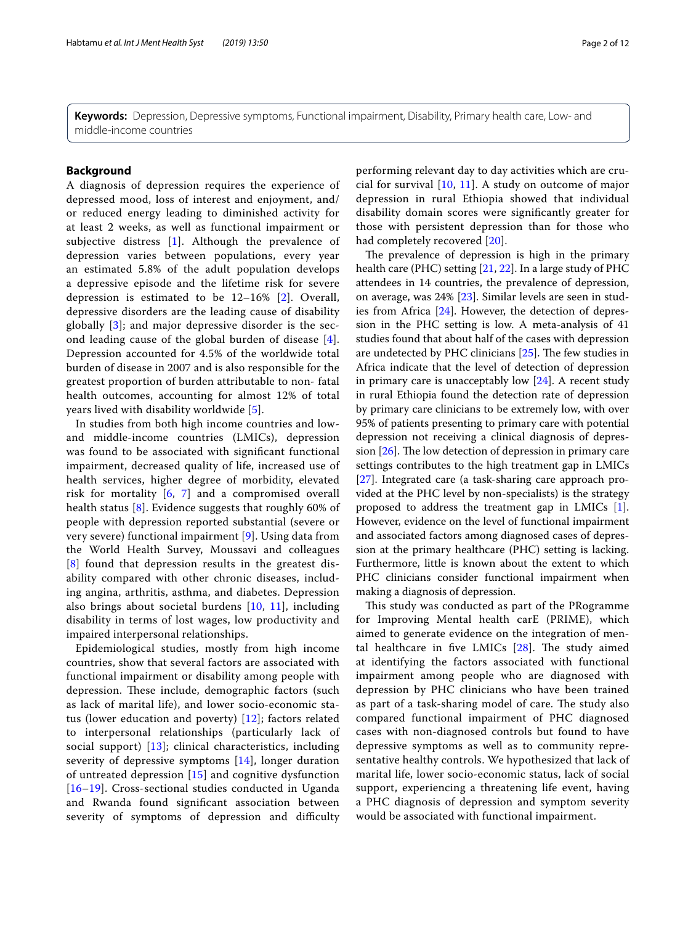**Keywords:** Depression, Depressive symptoms, Functional impairment, Disability, Primary health care, Low- and middle-income countries

## **Background**

A diagnosis of depression requires the experience of depressed mood, loss of interest and enjoyment, and/ or reduced energy leading to diminished activity for at least 2 weeks, as well as functional impairment or subjective distress [[1](#page-9-0)]. Although the prevalence of depression varies between populations, every year an estimated 5.8% of the adult population develops a depressive episode and the lifetime risk for severe depression is estimated to be 12–16% [\[2\]](#page-9-1). Overall, depressive disorders are the leading cause of disability globally [[3\]](#page-10-0); and major depressive disorder is the second leading cause of the global burden of disease [[4\]](#page-10-1). Depression accounted for 4.5% of the worldwide total burden of disease in 2007 and is also responsible for the greatest proportion of burden attributable to non- fatal health outcomes, accounting for almost 12% of total years lived with disability worldwide [[5\]](#page-10-2).

In studies from both high income countries and lowand middle-income countries (LMICs), depression was found to be associated with signifcant functional impairment, decreased quality of life, increased use of health services, higher degree of morbidity, elevated risk for mortality  $[6, 7]$  $[6, 7]$  $[6, 7]$  $[6, 7]$  $[6, 7]$  and a compromised overall health status [\[8\]](#page-10-5). Evidence suggests that roughly 60% of people with depression reported substantial (severe or very severe) functional impairment [[9](#page-10-6)]. Using data from the World Health Survey, Moussavi and colleagues [[8](#page-10-5)] found that depression results in the greatest disability compared with other chronic diseases, including angina, arthritis, asthma, and diabetes. Depression also brings about societal burdens [\[10](#page-10-7), [11](#page-10-8)], including disability in terms of lost wages, low productivity and impaired interpersonal relationships.

Epidemiological studies, mostly from high income countries, show that several factors are associated with functional impairment or disability among people with depression. These include, demographic factors (such as lack of marital life), and lower socio-economic status (lower education and poverty) [[12](#page-10-9)]; factors related to interpersonal relationships (particularly lack of social support) [[13\]](#page-10-10); clinical characteristics, including severity of depressive symptoms [[14](#page-10-11)], longer duration of untreated depression [[15](#page-10-12)] and cognitive dysfunction [[16](#page-10-13)[–19](#page-10-14)]. Cross-sectional studies conducted in Uganda and Rwanda found signifcant association between severity of symptoms of depression and difficulty

performing relevant day to day activities which are crucial for survival [[10,](#page-10-7) [11](#page-10-8)]. A study on outcome of major depression in rural Ethiopia showed that individual disability domain scores were signifcantly greater for those with persistent depression than for those who had completely recovered [\[20\]](#page-10-15).

The prevalence of depression is high in the primary health care (PHC) setting [\[21](#page-10-16), [22](#page-10-17)]. In a large study of PHC attendees in 14 countries, the prevalence of depression, on average, was 24% [[23](#page-10-18)]. Similar levels are seen in studies from Africa [[24](#page-10-19)]. However, the detection of depression in the PHC setting is low. A meta-analysis of 41 studies found that about half of the cases with depression are undetected by PHC clinicians  $[25]$  $[25]$ . The few studies in Africa indicate that the level of detection of depression in primary care is unacceptably low [\[24](#page-10-19)]. A recent study in rural Ethiopia found the detection rate of depression by primary care clinicians to be extremely low, with over 95% of patients presenting to primary care with potential depression not receiving a clinical diagnosis of depression  $[26]$ . The low detection of depression in primary care settings contributes to the high treatment gap in LMICs [[27\]](#page-10-22). Integrated care (a task-sharing care approach provided at the PHC level by non-specialists) is the strategy proposed to address the treatment gap in LMICs [\[1](#page-9-0)]. However, evidence on the level of functional impairment and associated factors among diagnosed cases of depression at the primary healthcare (PHC) setting is lacking. Furthermore, little is known about the extent to which PHC clinicians consider functional impairment when making a diagnosis of depression.

This study was conducted as part of the PRogramme for Improving Mental health carE (PRIME), which aimed to generate evidence on the integration of mental healthcare in five LMICs  $[28]$ . The study aimed at identifying the factors associated with functional impairment among people who are diagnosed with depression by PHC clinicians who have been trained as part of a task-sharing model of care. The study also compared functional impairment of PHC diagnosed cases with non-diagnosed controls but found to have depressive symptoms as well as to community representative healthy controls. We hypothesized that lack of marital life, lower socio-economic status, lack of social support, experiencing a threatening life event, having a PHC diagnosis of depression and symptom severity would be associated with functional impairment.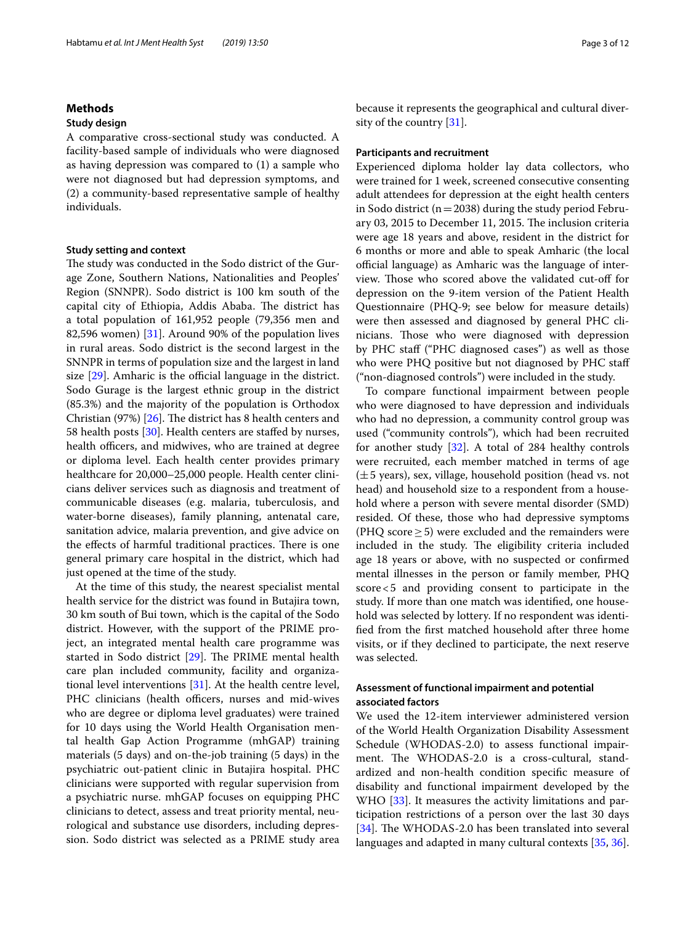# **Methods**

#### **Study design**

A comparative cross-sectional study was conducted. A facility-based sample of individuals who were diagnosed as having depression was compared to (1) a sample who were not diagnosed but had depression symptoms, and (2) a community-based representative sample of healthy individuals.

#### **Study setting and context**

The study was conducted in the Sodo district of the Gurage Zone, Southern Nations, Nationalities and Peoples' Region (SNNPR). Sodo district is 100 km south of the capital city of Ethiopia, Addis Ababa. The district has a total population of 161,952 people (79,356 men and 82,596 women) [[31\]](#page-10-24). Around 90% of the population lives in rural areas. Sodo district is the second largest in the SNNPR in terms of population size and the largest in land size  $[29]$  $[29]$ . Amharic is the official language in the district. Sodo Gurage is the largest ethnic group in the district (85.3%) and the majority of the population is Orthodox Christian (97%)  $[26]$  $[26]$ . The district has 8 health centers and 58 health posts [[30](#page-10-26)]. Health centers are stafed by nurses, health officers, and midwives, who are trained at degree or diploma level. Each health center provides primary healthcare for 20,000–25,000 people. Health center clinicians deliver services such as diagnosis and treatment of communicable diseases (e.g. malaria, tuberculosis, and water-borne diseases), family planning, antenatal care, sanitation advice, malaria prevention, and give advice on the effects of harmful traditional practices. There is one general primary care hospital in the district, which had just opened at the time of the study.

At the time of this study, the nearest specialist mental health service for the district was found in Butajira town, 30 km south of Bui town, which is the capital of the Sodo district. However, with the support of the PRIME project, an integrated mental health care programme was started in Sodo district [\[29](#page-10-25)]. The PRIME mental health care plan included community, facility and organizational level interventions [\[31](#page-10-24)]. At the health centre level, PHC clinicians (health officers, nurses and mid-wives who are degree or diploma level graduates) were trained for 10 days using the World Health Organisation mental health Gap Action Programme (mhGAP) training materials (5 days) and on-the-job training (5 days) in the psychiatric out-patient clinic in Butajira hospital. PHC clinicians were supported with regular supervision from a psychiatric nurse. mhGAP focuses on equipping PHC clinicians to detect, assess and treat priority mental, neurological and substance use disorders, including depression. Sodo district was selected as a PRIME study area because it represents the geographical and cultural diversity of the country [\[31](#page-10-24)].

#### **Participants and recruitment**

Experienced diploma holder lay data collectors, who were trained for 1 week, screened consecutive consenting adult attendees for depression at the eight health centers in Sodo district ( $n=2038$ ) during the study period February 03, 2015 to December 11, 2015. The inclusion criteria were age 18 years and above, resident in the district for 6 months or more and able to speak Amharic (the local official language) as Amharic was the language of interview. Those who scored above the validated cut-off for depression on the 9-item version of the Patient Health Questionnaire (PHQ-9; see below for measure details) were then assessed and diagnosed by general PHC clinicians. Those who were diagnosed with depression by PHC staf ("PHC diagnosed cases") as well as those who were PHQ positive but not diagnosed by PHC staf ("non-diagnosed controls") were included in the study.

To compare functional impairment between people who were diagnosed to have depression and individuals who had no depression, a community control group was used ("community controls"), which had been recruited for another study [\[32](#page-10-27)]. A total of 284 healthy controls were recruited, each member matched in terms of age  $(\pm 5$  years), sex, village, household position (head vs. not head) and household size to a respondent from a household where a person with severe mental disorder (SMD) resided. Of these, those who had depressive symptoms (PHQ score  $\geq$  5) were excluded and the remainders were included in the study. The eligibility criteria included age 18 years or above, with no suspected or confrmed mental illnesses in the person or family member, PHQ score<5 and providing consent to participate in the study. If more than one match was identifed, one household was selected by lottery. If no respondent was identifed from the frst matched household after three home visits, or if they declined to participate, the next reserve was selected.

# **Assessment of functional impairment and potential associated factors**

We used the 12-item interviewer administered version of the World Health Organization Disability Assessment Schedule (WHODAS-2.0) to assess functional impairment. The WHODAS-2.0 is a cross-cultural, standardized and non-health condition specifc measure of disability and functional impairment developed by the WHO [[33](#page-10-28)]. It measures the activity limitations and participation restrictions of a person over the last 30 days [[34\]](#page-10-29). The WHODAS-2.0 has been translated into several languages and adapted in many cultural contexts [[35,](#page-10-30) [36](#page-10-31)].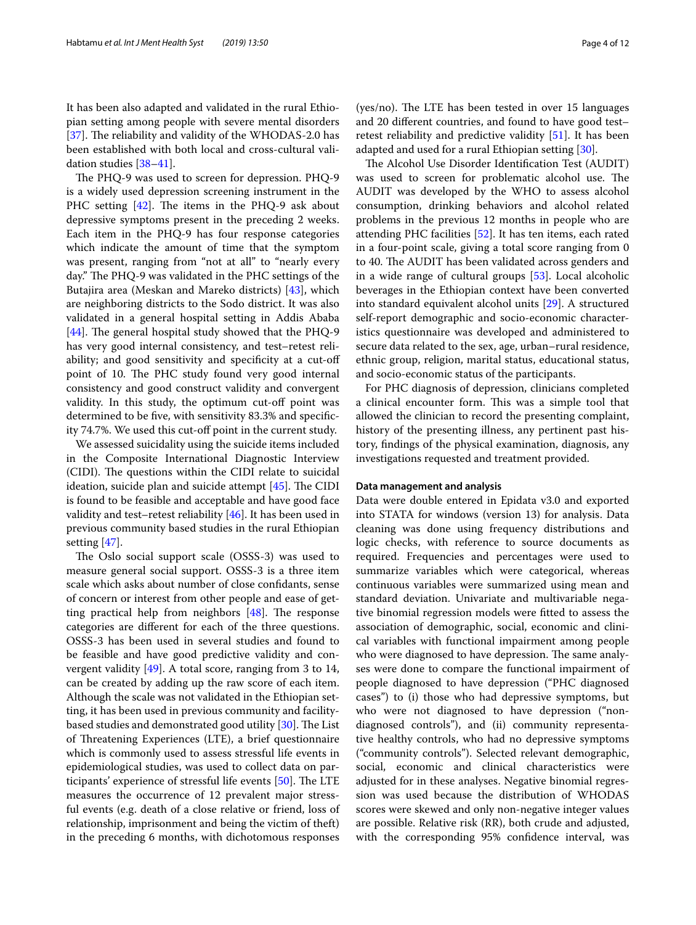It has been also adapted and validated in the rural Ethiopian setting among people with severe mental disorders [[37\]](#page-10-32). The reliability and validity of the WHODAS-2.0 has been established with both local and cross-cultural validation studies [\[38](#page-10-33)–[41\]](#page-10-34).

The PHQ-9 was used to screen for depression. PHQ-9 is a widely used depression screening instrument in the PHC setting  $[42]$  $[42]$ . The items in the PHQ-9 ask about depressive symptoms present in the preceding 2 weeks. Each item in the PHQ-9 has four response categories which indicate the amount of time that the symptom was present, ranging from "not at all" to "nearly every day." The PHQ-9 was validated in the PHC settings of the Butajira area (Meskan and Mareko districts) [\[43](#page-10-36)], which are neighboring districts to the Sodo district. It was also validated in a general hospital setting in Addis Ababa [ $44$ ]. The general hospital study showed that the PHQ-9 has very good internal consistency, and test–retest reliability; and good sensitivity and specificity at a cut-off point of 10. The PHC study found very good internal consistency and good construct validity and convergent validity. In this study, the optimum cut-off point was determined to be fve, with sensitivity 83.3% and specifcity 74.7%. We used this cut-of point in the current study.

We assessed suicidality using the suicide items included in the Composite International Diagnostic Interview (CIDI). The questions within the CIDI relate to suicidal ideation, suicide plan and suicide attempt  $[45]$  $[45]$ . The CIDI is found to be feasible and acceptable and have good face validity and test–retest reliability [\[46](#page-10-39)]. It has been used in previous community based studies in the rural Ethiopian setting [[47\]](#page-10-40).

The Oslo social support scale (OSSS-3) was used to measure general social support. OSSS-3 is a three item scale which asks about number of close confdants, sense of concern or interest from other people and ease of getting practical help from neighbors  $[48]$  $[48]$ . The response categories are diferent for each of the three questions. OSSS-3 has been used in several studies and found to be feasible and have good predictive validity and convergent validity [\[49\]](#page-11-1). A total score, ranging from 3 to 14, can be created by adding up the raw score of each item. Although the scale was not validated in the Ethiopian setting, it has been used in previous community and facilitybased studies and demonstrated good utility  $[30]$  $[30]$  $[30]$ . The List of Threatening Experiences (LTE), a brief questionnaire which is commonly used to assess stressful life events in epidemiological studies, was used to collect data on participants' experience of stressful life events  $[50]$  $[50]$ . The LTE measures the occurrence of 12 prevalent major stressful events (e.g. death of a close relative or friend, loss of relationship, imprisonment and being the victim of theft) in the preceding 6 months, with dichotomous responses

 $(yes/no)$ . The LTE has been tested in over 15 languages and 20 diferent countries, and found to have good test– retest reliability and predictive validity [[51\]](#page-11-3). It has been adapted and used for a rural Ethiopian setting [[30](#page-10-26)].

The Alcohol Use Disorder Identification Test (AUDIT) was used to screen for problematic alcohol use. The AUDIT was developed by the WHO to assess alcohol consumption, drinking behaviors and alcohol related problems in the previous 12 months in people who are attending PHC facilities [[52\]](#page-11-4). It has ten items, each rated in a four-point scale, giving a total score ranging from 0 to 40. The AUDIT has been validated across genders and in a wide range of cultural groups [[53\]](#page-11-5). Local alcoholic beverages in the Ethiopian context have been converted into standard equivalent alcohol units [[29](#page-10-25)]. A structured self-report demographic and socio-economic characteristics questionnaire was developed and administered to secure data related to the sex, age, urban–rural residence, ethnic group, religion, marital status, educational status, and socio-economic status of the participants.

For PHC diagnosis of depression, clinicians completed a clinical encounter form. This was a simple tool that allowed the clinician to record the presenting complaint, history of the presenting illness, any pertinent past history, fndings of the physical examination, diagnosis, any investigations requested and treatment provided.

#### **Data management and analysis**

Data were double entered in Epidata v3.0 and exported into STATA for windows (version 13) for analysis. Data cleaning was done using frequency distributions and logic checks, with reference to source documents as required. Frequencies and percentages were used to summarize variables which were categorical, whereas continuous variables were summarized using mean and standard deviation. Univariate and multivariable negative binomial regression models were ftted to assess the association of demographic, social, economic and clinical variables with functional impairment among people who were diagnosed to have depression. The same analyses were done to compare the functional impairment of people diagnosed to have depression ("PHC diagnosed cases") to (i) those who had depressive symptoms, but who were not diagnosed to have depression ("nondiagnosed controls"), and (ii) community representative healthy controls, who had no depressive symptoms ("community controls"). Selected relevant demographic, social, economic and clinical characteristics were adjusted for in these analyses. Negative binomial regression was used because the distribution of WHODAS scores were skewed and only non-negative integer values are possible. Relative risk (RR), both crude and adjusted, with the corresponding 95% confdence interval, was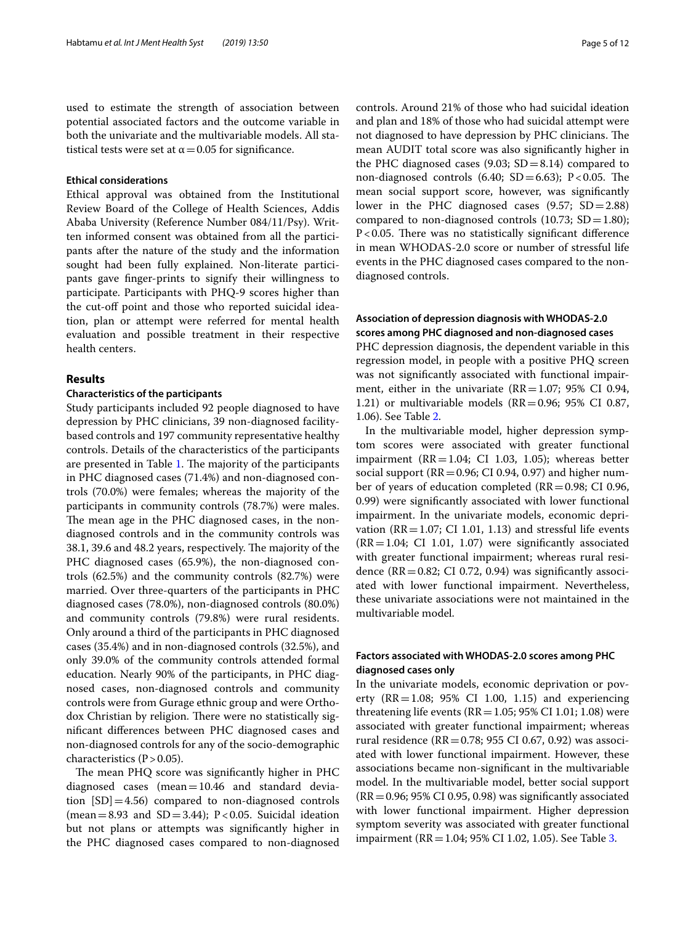used to estimate the strength of association between potential associated factors and the outcome variable in both the univariate and the multivariable models. All statistical tests were set at  $\alpha$  = 0.05 for significance.

#### **Ethical considerations**

Ethical approval was obtained from the Institutional Review Board of the College of Health Sciences, Addis Ababa University (Reference Number 084/11/Psy). Written informed consent was obtained from all the participants after the nature of the study and the information sought had been fully explained. Non-literate participants gave fnger-prints to signify their willingness to participate. Participants with PHQ-9 scores higher than the cut-off point and those who reported suicidal ideation, plan or attempt were referred for mental health evaluation and possible treatment in their respective health centers.

#### **Results**

## **Characteristics of the participants**

Study participants included 92 people diagnosed to have depression by PHC clinicians, 39 non-diagnosed facilitybased controls and 197 community representative healthy controls. Details of the characteristics of the participants are presented in Table [1](#page-5-0). The majority of the participants in PHC diagnosed cases (71.4%) and non-diagnosed controls (70.0%) were females; whereas the majority of the participants in community controls (78.7%) were males. The mean age in the PHC diagnosed cases, in the nondiagnosed controls and in the community controls was 38.1, 39.6 and 48.2 years, respectively. The majority of the PHC diagnosed cases (65.9%), the non-diagnosed controls (62.5%) and the community controls (82.7%) were married. Over three-quarters of the participants in PHC diagnosed cases (78.0%), non-diagnosed controls (80.0%) and community controls (79.8%) were rural residents. Only around a third of the participants in PHC diagnosed cases (35.4%) and in non-diagnosed controls (32.5%), and only 39.0% of the community controls attended formal education. Nearly 90% of the participants, in PHC diagnosed cases, non-diagnosed controls and community controls were from Gurage ethnic group and were Orthodox Christian by religion. There were no statistically signifcant diferences between PHC diagnosed cases and non-diagnosed controls for any of the socio-demographic characteristics  $(P>0.05)$ .

The mean PHQ score was significantly higher in PHC diagnosed cases (mean=10.46 and standard deviation  $[SD] = 4.56$  compared to non-diagnosed controls (mean = 8.93 and SD = 3.44); P < 0.05. Suicidal ideation but not plans or attempts was signifcantly higher in the PHC diagnosed cases compared to non-diagnosed

controls. Around 21% of those who had suicidal ideation and plan and 18% of those who had suicidal attempt were not diagnosed to have depression by PHC clinicians. The mean AUDIT total score was also signifcantly higher in the PHC diagnosed cases (9.03;  $SD = 8.14$ ) compared to non-diagnosed controls  $(6.40; SD=6.63); P<0.05$ . The mean social support score, however, was signifcantly lower in the PHC diagnosed cases  $(9.57; SD = 2.88)$ compared to non-diagnosed controls (10.73;  $SD = 1.80$ );  $P < 0.05$ . There was no statistically significant difference in mean WHODAS-2.0 score or number of stressful life events in the PHC diagnosed cases compared to the nondiagnosed controls.

# **Association of depression diagnosis with WHODAS‑2.0 scores among PHC diagnosed and non‑diagnosed cases**

PHC depression diagnosis, the dependent variable in this regression model, in people with a positive PHQ screen was not signifcantly associated with functional impairment, either in the univariate (RR=1.07; 95% CI 0.94, 1.21) or multivariable models  $(RR=0.96; 95\% \text{ CI } 0.87$ , 1.06). See Table [2](#page-7-0).

In the multivariable model, higher depression symptom scores were associated with greater functional impairment  $(RR=1.04; C1 1.03, 1.05)$ ; whereas better social support ( $RR = 0.96$ ; CI 0.94, 0.97) and higher number of years of education completed ( $RR = 0.98$ ; CI 0.96, 0.99) were signifcantly associated with lower functional impairment. In the univariate models, economic deprivation ( $RR = 1.07$ ; CI 1.01, 1.13) and stressful life events  $(RR=1.04; C1 1.01, 1.07)$  were significantly associated with greater functional impairment; whereas rural residence ( $RR = 0.82$ ; CI 0.72, 0.94) was significantly associated with lower functional impairment. Nevertheless, these univariate associations were not maintained in the multivariable model.

# **Factors associated with WHODAS‑2.0 scores among PHC diagnosed cases only**

In the univariate models, economic deprivation or poverty ( $RR = 1.08$ ;  $95\%$  CI 1.00, 1.15) and experiencing threatening life events ( $RR = 1.05$ ; 95% CI 1.01; 1.08) were associated with greater functional impairment; whereas rural residence (RR=0.78; 955 CI 0.67, 0.92) was associated with lower functional impairment. However, these associations became non-signifcant in the multivariable model. In the multivariable model, better social support  $(RR=0.96; 95\% \text{ CI } 0.95, 0.98)$  was significantly associated with lower functional impairment. Higher depression symptom severity was associated with greater functional impairment (RR = 1.04; 95% CI 1.02, 1.05). See Table [3](#page-7-1).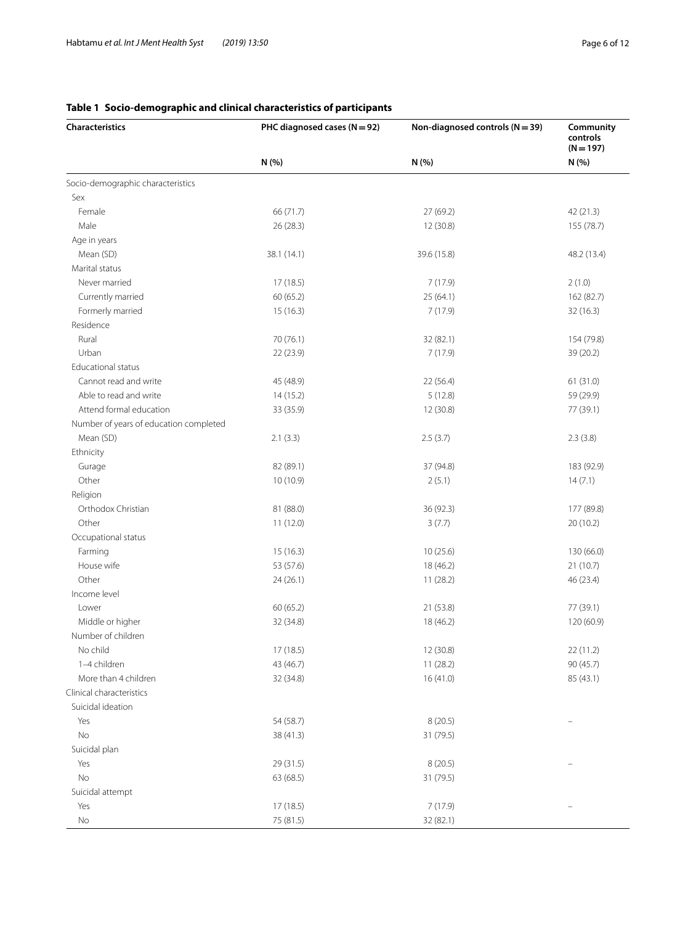| Characteristics                        | PHC diagnosed cases $(N = 92)$ | Non-diagnosed controls ( $N = 39$ ) | Community<br>controls<br>$(N = 197)$ |
|----------------------------------------|--------------------------------|-------------------------------------|--------------------------------------|
|                                        | N (%)                          | N (%)                               | N (%)                                |
| Socio-demographic characteristics      |                                |                                     |                                      |
| Sex                                    |                                |                                     |                                      |
| Female                                 | 66 (71.7)                      | 27 (69.2)                           | 42 (21.3)                            |
| Male                                   | 26 (28.3)                      | 12(30.8)                            | 155 (78.7)                           |
| Age in years                           |                                |                                     |                                      |
| Mean (SD)                              | 38.1 (14.1)                    | 39.6 (15.8)                         | 48.2 (13.4)                          |
| Marital status                         |                                |                                     |                                      |
| Never married                          | 17 (18.5)                      | 7(17.9)                             | 2(1.0)                               |
| Currently married                      | 60(65.2)                       | 25(64.1)                            | 162 (82.7)                           |
| Formerly married                       | 15 (16.3)                      | 7(17.9)                             | 32(16.3)                             |
| Residence                              |                                |                                     |                                      |
| Rural                                  | 70 (76.1)                      | 32 (82.1)                           | 154 (79.8)                           |
| Urban                                  | 22 (23.9)                      | 7(17.9)                             | 39 (20.2)                            |
| <b>Educational status</b>              |                                |                                     |                                      |
| Cannot read and write                  | 45 (48.9)                      | 22 (56.4)                           | 61 (31.0)                            |
| Able to read and write                 | 14(15.2)                       | 5(12.8)                             | 59 (29.9)                            |
| Attend formal education                | 33 (35.9)                      | 12 (30.8)                           | 77 (39.1)                            |
| Number of years of education completed |                                |                                     |                                      |
| Mean (SD)                              | 2.1(3.3)                       | 2.5(3.7)                            | 2.3(3.8)                             |
| Ethnicity                              |                                |                                     |                                      |
| Gurage                                 | 82 (89.1)                      | 37 (94.8)                           | 183 (92.9)                           |
| Other                                  | 10 (10.9)                      | 2(5.1)                              | 14(7.1)                              |
| Religion                               |                                |                                     |                                      |
| Orthodox Christian                     | 81 (88.0)                      | 36 (92.3)                           | 177 (89.8)                           |
| Other                                  | 11(12.0)                       | 3(7.7)                              | 20 (10.2)                            |
| Occupational status                    |                                |                                     |                                      |
| Farming                                | 15(16.3)                       | 10(25.6)                            | 130 (66.0)                           |
| House wife                             | 53 (57.6)                      | 18 (46.2)                           | 21 (10.7)                            |
| Other                                  | 24 (26.1)                      | 11(28.2)                            | 46 (23.4)                            |
| Income level                           |                                |                                     |                                      |
| Lower                                  | 60(65.2)                       | 21 (53.8)                           | 77 (39.1)                            |
| Middle or higher                       | 32 (34.8)                      | 18 (46.2)                           | 120 (60.9)                           |
| Number of children                     |                                |                                     |                                      |
| No child                               | 17 (18.5)                      | 12 (30.8)                           | 22 (11.2)                            |
| 1-4 children                           | 43 (46.7)                      | 11(28.2)                            | 90 (45.7)                            |
| More than 4 children                   | 32 (34.8)                      | 16 (41.0)                           | 85 (43.1)                            |
| Clinical characteristics               |                                |                                     |                                      |
| Suicidal ideation                      |                                |                                     |                                      |
| Yes                                    | 54 (58.7)                      | 8(20.5)                             |                                      |
| No                                     | 38 (41.3)                      | 31 (79.5)                           |                                      |
| Suicidal plan                          |                                |                                     |                                      |
| Yes                                    | 29 (31.5)                      | 8(20.5)                             |                                      |
| $\rm No$                               | 63 (68.5)                      | 31 (79.5)                           |                                      |
| Suicidal attempt                       |                                |                                     |                                      |
| Yes                                    | 17 (18.5)                      | 7(17.9)                             |                                      |
| $\rm No$                               | 75 (81.5)                      | 32(82.1)                            |                                      |

# <span id="page-5-0"></span>**Table 1 Socio-demographic and clinical characteristics of participants**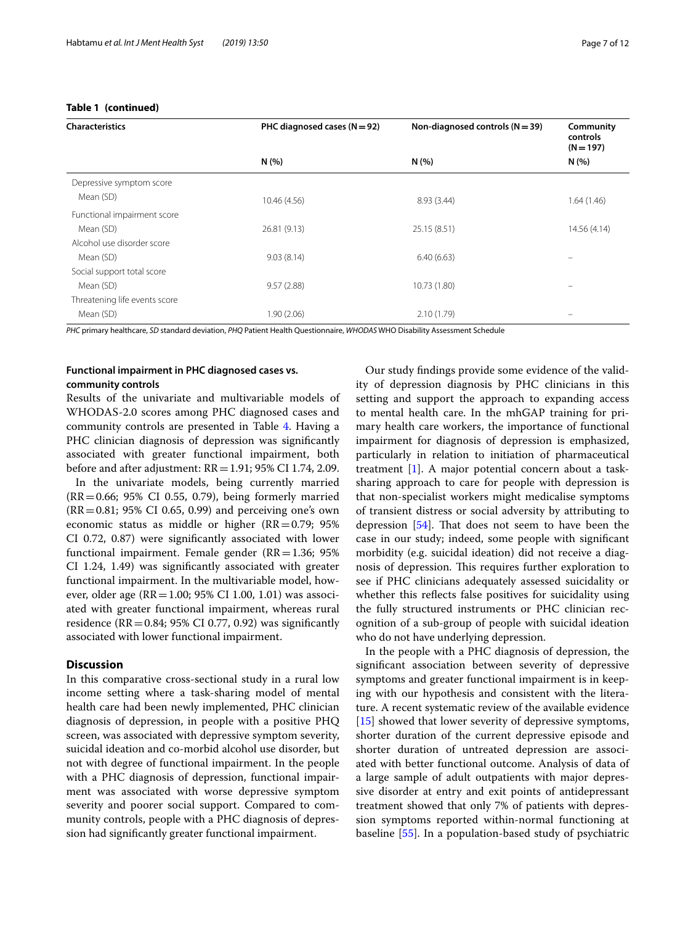| <b>Characteristics</b>        | PHC diagnosed cases $(N = 92)$ | Non-diagnosed controls $(N = 39)$ | Community<br>controls<br>$(N = 197)$ |
|-------------------------------|--------------------------------|-----------------------------------|--------------------------------------|
|                               | N(%                            | N(%                               | N(%)                                 |
| Depressive symptom score      |                                |                                   |                                      |
| Mean (SD)                     | 10.46 (4.56)                   | 8.93 (3.44)                       | 1.64(1.46)                           |
| Functional impairment score   |                                |                                   |                                      |
| Mean (SD)                     | 26.81 (9.13)                   | 25.15 (8.51)                      | 14.56 (4.14)                         |
| Alcohol use disorder score    |                                |                                   |                                      |
| Mean (SD)                     | 9.03(8.14)                     | 6.40(6.63)                        |                                      |
| Social support total score    |                                |                                   |                                      |
| Mean (SD)                     | 9.57(2.88)                     | 10.73 (1.80)                      |                                      |
| Threatening life events score |                                |                                   |                                      |
| Mean (SD)                     | 1.90(2.06)                     | 2.10(1.79)                        |                                      |

# **Table 1 (continued)**

*PHC* primary healthcare, *SD* standard deviation, *PHQ* Patient Health Questionnaire, *WHODAS* WHO Disability Assessment Schedule

# **Functional impairment in PHC diagnosed cases vs.**

## **community controls**

Results of the univariate and multivariable models of WHODAS-2.0 scores among PHC diagnosed cases and community controls are presented in Table [4](#page-8-0). Having a PHC clinician diagnosis of depression was significantly associated with greater functional impairment, both before and after adjustment:  $RR = 1.91$ ; 95% CI 1.74, 2.09.

In the univariate models, being currently married (RR=0.66; 95% CI 0.55, 0.79), being formerly married (RR=0.81; 95% CI 0.65, 0.99) and perceiving one's own economic status as middle or higher ( $RR = 0.79$ ; 95% CI 0.72, 0.87) were signifcantly associated with lower functional impairment. Female gender  $(RR=1.36; 95%$ CI 1.24, 1.49) was signifcantly associated with greater functional impairment. In the multivariable model, however, older age  $(RR=1.00; 95% CI 1.00, 1.01)$  was associated with greater functional impairment, whereas rural residence (RR=0.84; 95% CI 0.77, 0.92) was significantly associated with lower functional impairment.

#### **Discussion**

In this comparative cross-sectional study in a rural low income setting where a task-sharing model of mental health care had been newly implemented, PHC clinician diagnosis of depression, in people with a positive PHQ screen, was associated with depressive symptom severity, suicidal ideation and co-morbid alcohol use disorder, but not with degree of functional impairment. In the people with a PHC diagnosis of depression, functional impairment was associated with worse depressive symptom severity and poorer social support. Compared to community controls, people with a PHC diagnosis of depression had signifcantly greater functional impairment.

Our study fndings provide some evidence of the validity of depression diagnosis by PHC clinicians in this setting and support the approach to expanding access to mental health care. In the mhGAP training for primary health care workers, the importance of functional impairment for diagnosis of depression is emphasized, particularly in relation to initiation of pharmaceutical treatment [\[1](#page-9-0)]. A major potential concern about a tasksharing approach to care for people with depression is that non-specialist workers might medicalise symptoms of transient distress or social adversity by attributing to depression  $[54]$  $[54]$ . That does not seem to have been the case in our study; indeed, some people with signifcant morbidity (e.g. suicidal ideation) did not receive a diagnosis of depression. This requires further exploration to see if PHC clinicians adequately assessed suicidality or whether this refects false positives for suicidality using the fully structured instruments or PHC clinician recognition of a sub-group of people with suicidal ideation who do not have underlying depression.

In the people with a PHC diagnosis of depression, the signifcant association between severity of depressive symptoms and greater functional impairment is in keeping with our hypothesis and consistent with the literature. A recent systematic review of the available evidence [[15\]](#page-10-12) showed that lower severity of depressive symptoms, shorter duration of the current depressive episode and shorter duration of untreated depression are associated with better functional outcome. Analysis of data of a large sample of adult outpatients with major depressive disorder at entry and exit points of antidepressant treatment showed that only 7% of patients with depression symptoms reported within-normal functioning at baseline [\[55](#page-11-7)]. In a population-based study of psychiatric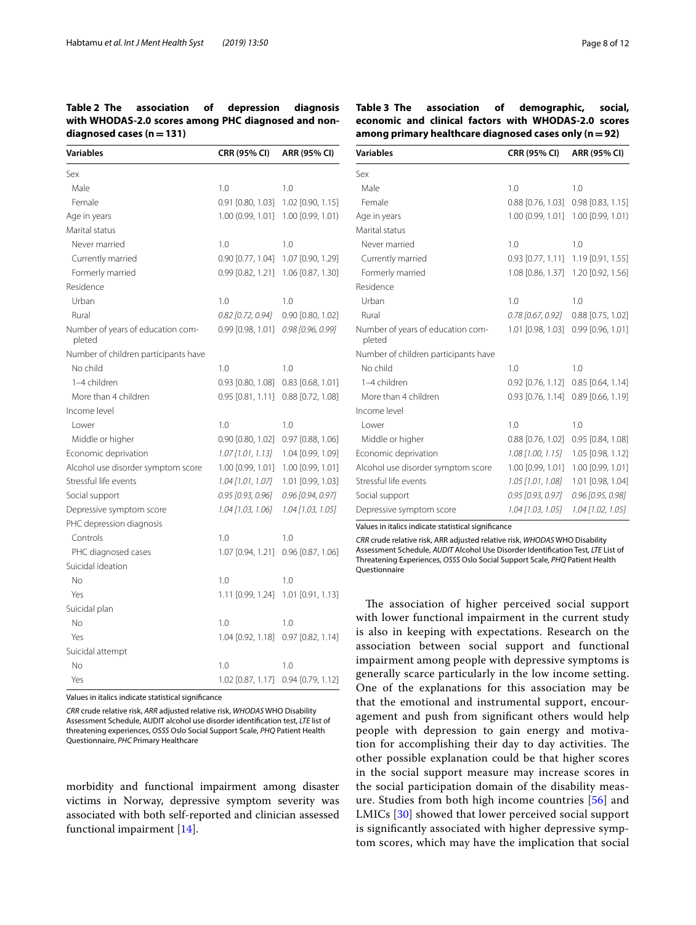<span id="page-7-0"></span>

| Variables                                   | CRR (95% CI)          | ARR (95% CI)        |
|---------------------------------------------|-----------------------|---------------------|
| Sex                                         |                       |                     |
| Male                                        | 1.0                   | 1.0                 |
| Female                                      | $0.91$ $[0.80, 1.03]$ | 1.02 [0.90, 1.15]   |
| Age in years                                | 1.00 (0.99, 1.01]     | 1.00 [0.99, 1.01)   |
| Marital status                              |                       |                     |
| Never married                               | 1.0                   | 1.0                 |
| Currently married                           | $0.90$ $[0.77, 1.04]$ | 1.07 [0.90, 1.29]   |
| Formerly married                            | $0.99$ $[0.82, 1.21]$ | 1.06 [0.87, 1.30]   |
| Residence                                   |                       |                     |
| Urban                                       | 1.0                   | 1.0                 |
| Rural                                       | $0.82$ [0.72, 0.94]   | 0.90 [0.80, 1.02]   |
| Number of years of education com-<br>pleted | 0.99 [0.98, 1.01]     | $0.98$ [0.96, 0.99] |
| Number of children participants have        |                       |                     |
| No child                                    | 1.0                   | 1.0                 |
| 1-4 children                                | $0.93$ [0.80, 1.08]   | $0.83$ [0.68, 1.01] |
| More than 4 children                        | $0.95$ $[0.81, 1.11]$ | 0.88 [0.72, 1.08]   |
| Income level                                |                       |                     |
| Lower                                       | 1.0                   | 1.0                 |
| Middle or higher                            | $0.90$ [0.80, 1.02]   | 0.97 [0.88, 1.06]   |
| Economic deprivation                        | 1.07 [1.01, 1.13]     | 1.04 [0.99, 1.09]   |
| Alcohol use disorder symptom score          | 1.00 [0.99, 1.01]     | 1.00 [0.99, 1.01]   |
| Stressful life events                       | 1.04 [1.01, 1.07]     | 1.01 [0.99, 1.03]   |
| Social support                              | $0.95$ [0.93, 0.96]   | 0.96 [0.94, 0.97]   |
| Depressive symptom score                    | 1.04 [1.03, 1.06]     | 1.04 [1.03, 1.05]   |
| PHC depression diagnosis                    |                       |                     |
| Controls                                    | 1.0                   | 1.0                 |
| PHC diagnosed cases                         | 1.07 [0.94, 1.21]     | $0.96$ [0.87, 1.06] |
| Suicidal ideation                           |                       |                     |
| <b>No</b>                                   | 1.0                   | 1.0                 |
| Yes                                         | 1.11 [0.99, 1.24]     | 1.01 [0.91, 1.13]   |
| Suicidal plan                               |                       |                     |
| No                                          | 1.0                   | 1.0                 |
| Yes                                         | 1.04 [0.92, 1.18]     | 0.97 [0.82, 1.14]   |
| Suicidal attempt                            |                       |                     |
| No                                          | 1.0                   | 1.0                 |
| Yes                                         | 1.02 [0.87, 1.17]     | $0.94$ [0.79, 1.12] |

Values in italics indicate statistical signifcance

*CRR* crude relative risk, *ARR* adjusted relative risk, *WHODAS* WHO Disability Assessment Schedule, AUDIT alcohol use disorder identifcation test, *LTE* list of threatening experiences, *OSSS* Oslo Social Support Scale, *PHQ* Patient Health Questionnaire, *PHC* Primary Healthcare

morbidity and functional impairment among disaster victims in Norway, depressive symptom severity was associated with both self-reported and clinician assessed functional impairment [[14](#page-10-11)].

<span id="page-7-1"></span>**Table 3 The association of demographic, social, economic and clinical factors with WHODAS-2.0 scores among primary healthcare diagnosed cases only (n=92)**

| <b>Variables</b>                            | CRR (95% CI)        | ARR (95% CI)                        |  |
|---------------------------------------------|---------------------|-------------------------------------|--|
| Sex                                         |                     |                                     |  |
| Male                                        | 1.0                 | 1.0                                 |  |
| Female                                      | $0.88$ [0.76, 1.03] | $0.98$ [0.83, 1.15]                 |  |
| Age in years                                | 1.00 (0.99, 1.01)   | 1.00 [0.99, 1.01)                   |  |
| Marital status                              |                     |                                     |  |
| Never married                               | 1.0                 | 1.0                                 |  |
| Currently married                           | $0.93$ [0.77, 1.11] | 1.19 [0.91, 1.55]                   |  |
| Formerly married                            |                     | 1.08 [0.86, 1.37] 1.20 [0.92, 1.56] |  |
| Residence                                   |                     |                                     |  |
| Urban                                       | 1.0                 | 1.0                                 |  |
| Rural                                       | 0.78 [0.67, 0.92]   | 0.88 [0.75, 1.02]                   |  |
| Number of years of education com-<br>pleted | 1.01 [0.98, 1.03]   | 0.99 [0.96, 1.01]                   |  |
| Number of children participants have        |                     |                                     |  |
| No child                                    | 1.0                 | 1.0                                 |  |
| 1-4 children                                |                     | 0.92 [0.76, 1.12] 0.85 [0.64, 1.14] |  |
| More than 4 children                        | $0.93$ [0.76, 1.14] | $0.89$ [0.66, 1.19]                 |  |
| Income level                                |                     |                                     |  |
| I ower                                      | 1.0                 | 1.0                                 |  |
| Middle or higher                            | $0.88$ [0.76, 1.02] | 0.95 [0.84, 1.08]                   |  |
| Economic deprivation                        | $1.08$ [1.00, 1.15] | 1.05 [0.98, 1.12]                   |  |
| Alcohol use disorder symptom score          | 1.00 [0.99, 1.01]   | 1.00 [0.99, 1.01]                   |  |
| Stressful life events                       | 1.05 [1.01, 1.08]   | 1.01 [0.98, 1.04]                   |  |
| Social support                              | 0.95 [0.93, 0.97]   | $0.96$ [0.95, 0.98]                 |  |
| Depressive symptom score                    | 1.04 [1.03, 1.05]   | 1.04 [1.02, 1.05]                   |  |
|                                             |                     |                                     |  |

Values in italics indicate statistical signifcance

*CRR* crude relative risk, ARR adjusted relative risk, *WHODAS* WHO Disability Assessment Schedule, *AUDIT* Alcohol Use Disorder Identifcation Test*, LTE* List of Threatening Experiences, *OSSS* Oslo Social Support Scale*, PHQ* Patient Health Questionnaire

The association of higher perceived social support with lower functional impairment in the current study is also in keeping with expectations. Research on the association between social support and functional impairment among people with depressive symptoms is generally scarce particularly in the low income setting. One of the explanations for this association may be that the emotional and instrumental support, encouragement and push from signifcant others would help people with depression to gain energy and motivation for accomplishing their day to day activities. The other possible explanation could be that higher scores in the social support measure may increase scores in the social participation domain of the disability measure. Studies from both high income countries [[56\]](#page-11-8) and LMICs [[30](#page-10-26)] showed that lower perceived social support is signifcantly associated with higher depressive symptom scores, which may have the implication that social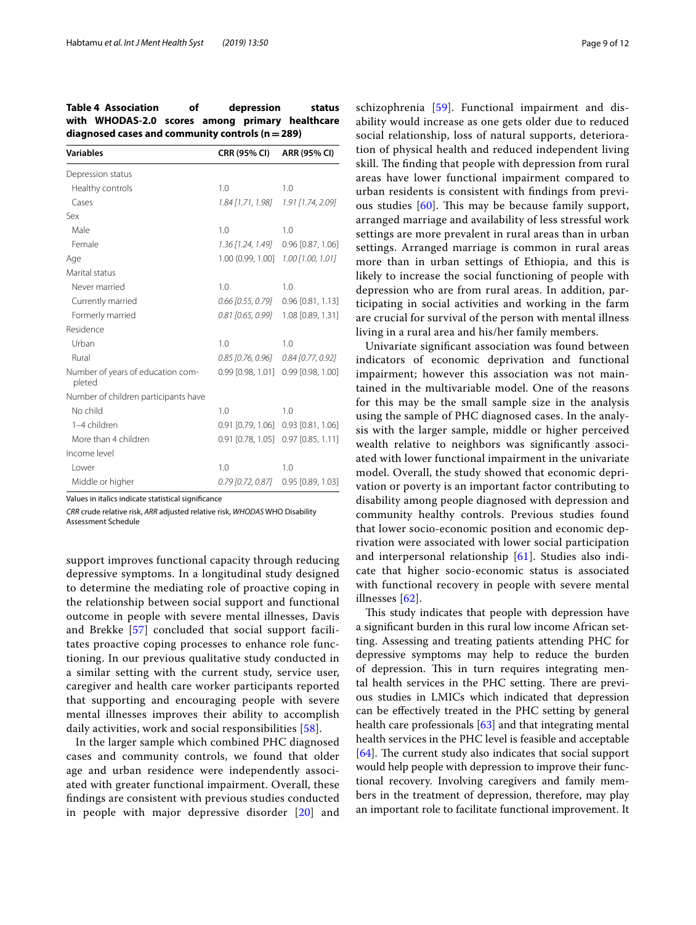<span id="page-8-0"></span>

|                                                      | <b>Table 4 Association</b>                      | of |  | depression | status |
|------------------------------------------------------|-------------------------------------------------|----|--|------------|--------|
|                                                      | with WHODAS-2.0 scores among primary healthcare |    |  |            |        |
| diagnosed cases and community controls ( $n = 289$ ) |                                                 |    |  |            |        |

| Variables                                   | <b>CRR (95% CI)</b> | ARR (95% CI)                            |
|---------------------------------------------|---------------------|-----------------------------------------|
| Depression status                           |                     |                                         |
| Healthy controls                            | 1.0                 | 1.0                                     |
| Cases                                       | 1.84 [1.71, 1.98]   | 1.91 [1.74, 2.09]                       |
| Sex                                         |                     |                                         |
| Male                                        | 1.0                 | 1.0                                     |
| Female                                      | 1.36 [1.24, 1.49]   | $0.96$ [0.87, 1.06]                     |
| Age                                         |                     | 1.00 (0.99, 1.00] 1.00 [1.00, 1.01]     |
| Marital status                              |                     |                                         |
| Never married                               | 1.0                 | 1.0                                     |
| Currently married                           | 0.66 [0.55, 0.79]   | $0.96$ [0.81, 1.13]                     |
| Formerly married                            | 0.81 [0.65, 0.99]   | 1.08 [0.89, 1.31]                       |
| Residence                                   |                     |                                         |
| Urban                                       | 1.0                 | 1.0                                     |
| Rural                                       |                     | $0.85$ [0.76, 0.96] $0.84$ [0.77, 0.92] |
| Number of years of education com-<br>pleted | 0.99 [0.98, 1.01]   | 0.99 [0.98, 1.00]                       |
| Number of children participants have        |                     |                                         |
| No child                                    | 1.0                 | 1.0                                     |
| 1-4 children                                |                     | $0.91$ [0.79, 1.06] $0.93$ [0.81, 1.06] |
| More than 4 children                        | $0.91$ [0.78, 1.05] | $0.97$ [0.85, 1.11]                     |
| Income level                                |                     |                                         |
| I ower                                      | 1.0                 | 1.0                                     |
| Middle or higher                            | 0.79 [0.72, 0.87]   | $0.95$ [0.89, 1.03]                     |

Values in italics indicate statistical signifcance

*CRR* crude relative risk, *ARR* adjusted relative risk, *WHODAS* WHO Disability Assessment Schedule

support improves functional capacity through reducing depressive symptoms. In a longitudinal study designed to determine the mediating role of proactive coping in the relationship between social support and functional outcome in people with severe mental illnesses, Davis and Brekke [\[57\]](#page-11-9) concluded that social support facilitates proactive coping processes to enhance role functioning. In our previous qualitative study conducted in a similar setting with the current study, service user, caregiver and health care worker participants reported that supporting and encouraging people with severe mental illnesses improves their ability to accomplish daily activities, work and social responsibilities [[58](#page-11-10)].

In the larger sample which combined PHC diagnosed cases and community controls, we found that older age and urban residence were independently associated with greater functional impairment. Overall, these fndings are consistent with previous studies conducted in people with major depressive disorder [[20\]](#page-10-15) and schizophrenia [[59](#page-11-11)]. Functional impairment and disability would increase as one gets older due to reduced social relationship, loss of natural supports, deterioration of physical health and reduced independent living skill. The finding that people with depression from rural areas have lower functional impairment compared to urban residents is consistent with fndings from previous studies  $[60]$  $[60]$ . This may be because family support, arranged marriage and availability of less stressful work settings are more prevalent in rural areas than in urban settings. Arranged marriage is common in rural areas more than in urban settings of Ethiopia, and this is likely to increase the social functioning of people with depression who are from rural areas. In addition, participating in social activities and working in the farm are crucial for survival of the person with mental illness living in a rural area and his/her family members.

Univariate signifcant association was found between indicators of economic deprivation and functional impairment; however this association was not maintained in the multivariable model. One of the reasons for this may be the small sample size in the analysis using the sample of PHC diagnosed cases. In the analysis with the larger sample, middle or higher perceived wealth relative to neighbors was signifcantly associated with lower functional impairment in the univariate model. Overall, the study showed that economic deprivation or poverty is an important factor contributing to disability among people diagnosed with depression and community healthy controls. Previous studies found that lower socio-economic position and economic deprivation were associated with lower social participation and interpersonal relationship [[61\]](#page-11-13). Studies also indicate that higher socio-economic status is associated with functional recovery in people with severe mental illnesses [\[62\]](#page-11-14).

This study indicates that people with depression have a signifcant burden in this rural low income African setting. Assessing and treating patients attending PHC for depressive symptoms may help to reduce the burden of depression. This in turn requires integrating mental health services in the PHC setting. There are previous studies in LMICs which indicated that depression can be efectively treated in the PHC setting by general health care professionals [\[63](#page-11-15)] and that integrating mental health services in the PHC level is feasible and acceptable  $[64]$  $[64]$ . The current study also indicates that social support would help people with depression to improve their functional recovery. Involving caregivers and family members in the treatment of depression, therefore, may play an important role to facilitate functional improvement. It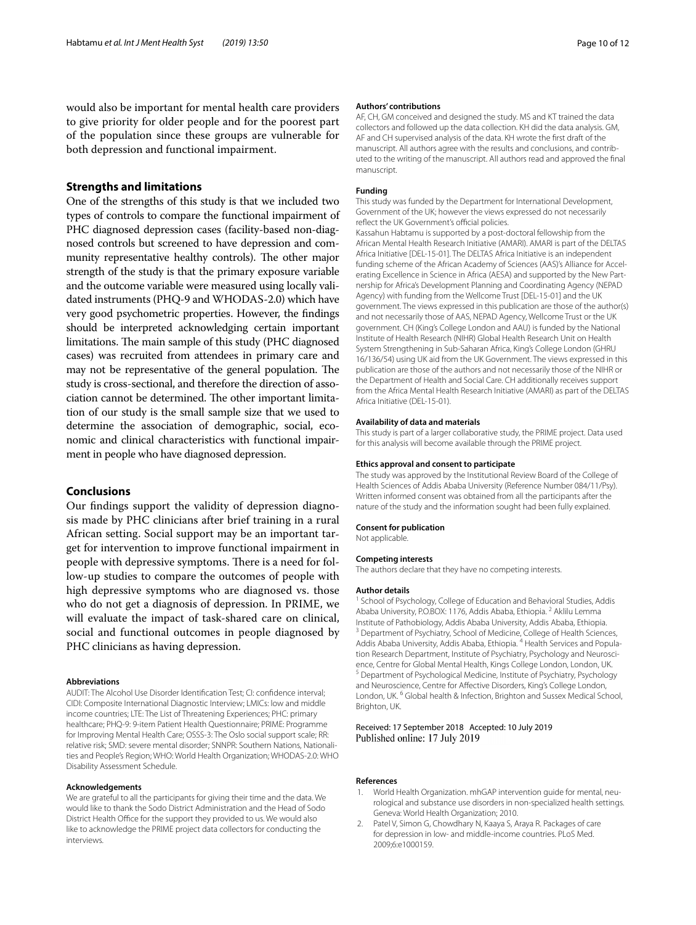would also be important for mental health care providers to give priority for older people and for the poorest part of the population since these groups are vulnerable for both depression and functional impairment.

## **Strengths and limitations**

One of the strengths of this study is that we included two types of controls to compare the functional impairment of PHC diagnosed depression cases (facility-based non-diagnosed controls but screened to have depression and community representative healthy controls). The other major strength of the study is that the primary exposure variable and the outcome variable were measured using locally validated instruments (PHQ-9 and WHODAS-2.0) which have very good psychometric properties. However, the fndings should be interpreted acknowledging certain important limitations. The main sample of this study (PHC diagnosed cases) was recruited from attendees in primary care and may not be representative of the general population. The study is cross-sectional, and therefore the direction of association cannot be determined. The other important limitation of our study is the small sample size that we used to determine the association of demographic, social, economic and clinical characteristics with functional impairment in people who have diagnosed depression.

## **Conclusions**

Our fndings support the validity of depression diagnosis made by PHC clinicians after brief training in a rural African setting. Social support may be an important target for intervention to improve functional impairment in people with depressive symptoms. There is a need for follow-up studies to compare the outcomes of people with high depressive symptoms who are diagnosed vs. those who do not get a diagnosis of depression. In PRIME, we will evaluate the impact of task-shared care on clinical, social and functional outcomes in people diagnosed by PHC clinicians as having depression.

#### **Abbreviations**

AUDIT: The Alcohol Use Disorder Identifcation Test; CI: confdence interval; CIDI: Composite International Diagnostic Interview; LMICs: low and middle income countries; LTE: The List of Threatening Experiences; PHC: primary healthcare; PHQ-9: 9-item Patient Health Questionnaire; PRIME: Programme for Improving Mental Health Care; OSSS-3: The Oslo social support scale; RR: relative risk; SMD: severe mental disorder; SNNPR: Southern Nations, Nationalities and People's Region; WHO: World Health Organization; WHODAS-2.0: WHO Disability Assessment Schedule.

#### **Acknowledgements**

We are grateful to all the participants for giving their time and the data. We would like to thank the Sodo District Administration and the Head of Sodo District Health Office for the support they provided to us. We would also like to acknowledge the PRIME project data collectors for conducting the interviews.

#### **Authors' contributions**

AF, CH, GM conceived and designed the study. MS and KT trained the data collectors and followed up the data collection. KH did the data analysis. GM, AF and CH supervised analysis of the data. KH wrote the frst draft of the manuscript. All authors agree with the results and conclusions, and contributed to the writing of the manuscript. All authors read and approved the fnal manuscript.

#### **Funding**

This study was funded by the Department for International Development, Government of the UK; however the views expressed do not necessarily reflect the UK Government's official policies.

Kassahun Habtamu is supported by a post-doctoral fellowship from the African Mental Health Research Initiative (AMARI). AMARI is part of the DELTAS Africa Initiative [DEL-15-01]. The DELTAS Africa Initiative is an independent funding scheme of the African Academy of Sciences (AAS)'s Alliance for Accelerating Excellence in Science in Africa (AESA) and supported by the New Partnership for Africa's Development Planning and Coordinating Agency (NEPAD Agency) with funding from the Wellcome Trust [DEL-15-01] and the UK government. The views expressed in this publication are those of the author(s) and not necessarily those of AAS, NEPAD Agency, Wellcome Trust or the UK government. CH (King's College London and AAU) is funded by the National Institute of Health Research (NIHR) Global Health Research Unit on Health System Strengthening in Sub-Saharan Africa, King's College London (GHRU 16/136/54) using UK aid from the UK Government. The views expressed in this publication are those of the authors and not necessarily those of the NIHR or the Department of Health and Social Care. CH additionally receives support from the Africa Mental Health Research Initiative (AMARI) as part of the DELTAS Africa Initiative (DEL-15-01).

#### **Availability of data and materials**

This study is part of a larger collaborative study, the PRIME project. Data used for this analysis will become available through the PRIME project.

#### **Ethics approval and consent to participate**

The study was approved by the Institutional Review Board of the College of Health Sciences of Addis Ababa University (Reference Number 084/11/Psy). Written informed consent was obtained from all the participants after the nature of the study and the information sought had been fully explained.

#### **Consent for publication**

Not applicable.

#### **Competing interests**

The authors declare that they have no competing interests.

#### **Author details**

<sup>1</sup> School of Psychology, College of Education and Behavioral Studies, Addis Ababa University, P.O.BOX: 1176, Addis Ababa, Ethiopia.<sup>2</sup> Aklilu Lemma Institute of Pathobiology, Addis Ababa University, Addis Ababa, Ethiopia. 3 Department of Psychiatry, School of Medicine, College of Health Sciences, Addis Ababa University, Addis Ababa, Ethiopia. <sup>4</sup> Health Services and Population Research Department, Institute of Psychiatry, Psychology and Neuroscience, Centre for Global Mental Health, Kings College London, London, UK.<br><sup>5</sup> Department of Psychological Medicine, Institute of Psychiatry, Psychology and Neuroscience, Centre for Afective Disorders, King's College London, London, UK.<sup>6</sup> Global health & Infection, Brighton and Sussex Medical School, Brighton, UK.

#### Received: 17 September 2018 Accepted: 10 July 2019 Published online: 17 July 2019

#### **References**

- <span id="page-9-0"></span>1. World Health Organization. mhGAP intervention guide for mental, neurological and substance use disorders in non-specialized health settings. Geneva: World Health Organization; 2010.
- <span id="page-9-1"></span>2. Patel V, Simon G, Chowdhary N, Kaaya S, Araya R. Packages of care for depression in low- and middle-income countries. PLoS Med. 2009;6:e1000159.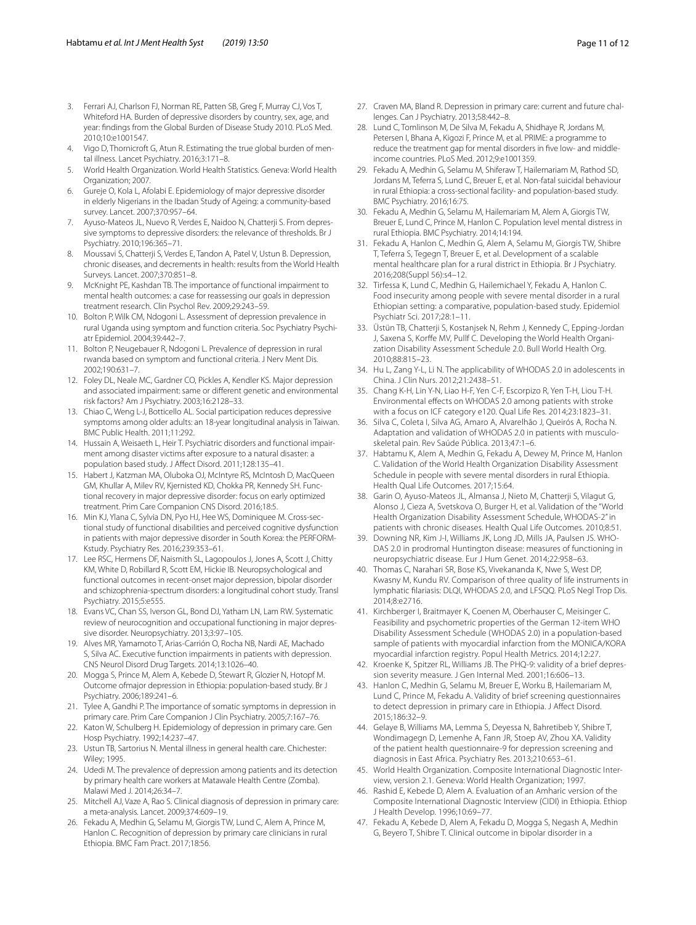- <span id="page-10-0"></span>3. Ferrari AJ, Charlson FJ, Norman RE, Patten SB, Greg F, Murray CJ, Vos T, Whiteford HA. Burden of depressive disorders by country, sex, age, and year: fndings from the Global Burden of Disease Study 2010. PLoS Med. 2010;10:e1001547.
- <span id="page-10-1"></span>4. Vigo D, Thornicroft G, Atun R. Estimating the true global burden of mental illness. Lancet Psychiatry. 2016;3:171–8.
- <span id="page-10-2"></span>5. World Health Organization. World Health Statistics. Geneva: World Health Organization; 2007.
- <span id="page-10-3"></span>6. Gureje O, Kola L, Afolabi E. Epidemiology of major depressive disorder in elderly Nigerians in the Ibadan Study of Ageing: a community-based survey. Lancet. 2007;370:957–64.
- <span id="page-10-4"></span>7. Ayuso-Mateos JL, Nuevo R, Verdes E, Naidoo N, Chatterji S. From depressive symptoms to depressive disorders: the relevance of thresholds. Br J Psychiatry. 2010;196:365–71.
- <span id="page-10-5"></span>8. Moussavi S, Chatterji S, Verdes E, Tandon A, Patel V, Ustun B. Depression, chronic diseases, and decrements in health: results from the World Health Surveys. Lancet. 2007;370:851–8.
- <span id="page-10-6"></span>9. McKnight PE, Kashdan TB. The importance of functional impairment to mental health outcomes: a case for reassessing our goals in depression treatment research. Clin Psychol Rev. 2009;29:243–59.
- <span id="page-10-7"></span>10. Bolton P, Wilk CM, Ndogoni L. Assessment of depression prevalence in rural Uganda using symptom and function criteria. Soc Psychiatry Psychiatr Epidemiol. 2004;39:442–7.
- <span id="page-10-8"></span>11. Bolton P, Neugebauer R, Ndogoni L. Prevalence of depression in rural rwanda based on symptom and functional criteria. J Nerv Ment Dis. 2002;190:631–7.
- <span id="page-10-9"></span>12. Foley DL, Neale MC, Gardner CO, Pickles A, Kendler KS. Major depression and associated impairment: same or diferent genetic and environmental risk factors? Am J Psychiatry. 2003;16:2128–33.
- <span id="page-10-10"></span>13. Chiao C, Weng L-J, Botticello AL. Social participation reduces depressive symptoms among older adults: an 18-year longitudinal analysis in Taiwan. BMC Public Health. 2011;11:292.
- <span id="page-10-11"></span>14. Hussain A, Weisaeth L, Heir T. Psychiatric disorders and functional impairment among disaster victims after exposure to a natural disaster: a population based study. J Afect Disord. 2011;128:135–41.
- <span id="page-10-12"></span>15. Habert J, Katzman MA, Oluboka OJ, McIntyre RS, McIntosh D, MacQueen GM, Khullar A, Milev RV, Kjernisted KD, Chokka PR, Kennedy SH. Functional recovery in major depressive disorder: focus on early optimized treatment. Prim Care Companion CNS Disord. 2016;18:5.
- <span id="page-10-13"></span>16. Min KJ, Ylana C, Sylvia DN, Pyo HJ, Hee WS, Dominiquee M. Cross-sectional study of functional disabilities and perceived cognitive dysfunction in patients with major depressive disorder in South Korea: the PERFORM-Kstudy. Psychiatry Res. 2016;239:353–61.
- 17. Lee RSC, Hermens DF, Naismith SL, Lagopoulos J, Jones A, Scott J, Chitty KM, White D, Robillard R, Scott EM, Hickie IB. Neuropsychological and functional outcomes in recent-onset major depression, bipolar disorder and schizophrenia-spectrum disorders: a longitudinal cohort study. Transl Psychiatry. 2015;5:e555.
- 18. Evans VC, Chan SS, Iverson GL, Bond DJ, Yatham LN, Lam RW. Systematic review of neurocognition and occupational functioning in major depressive disorder. Neuropsychiatry. 2013;3:97–105.
- <span id="page-10-14"></span>19. Alves MR, Yamamoto T, Arias-Carrión O, Rocha NB, Nardi AE, Machado S, Silva AC. Executive function impairments in patients with depression. CNS Neurol Disord Drug Targets. 2014;13:1026–40.
- <span id="page-10-15"></span>20. Mogga S, Prince M, Alem A, Kebede D, Stewart R, Glozier N, Hotopf M. Outcome ofmajor depression in Ethiopia: population-based study. Br J Psychiatry. 2006;189:241–6.
- <span id="page-10-16"></span>21. Tylee A, Gandhi P. The importance of somatic symptoms in depression in primary care. Prim Care Companion J Clin Psychiatry. 2005;7:167–76.
- <span id="page-10-17"></span>22. Katon W, Schulberg H. Epidemiology of depression in primary care. Gen Hosp Psychiatry. 1992;14:237–47.
- <span id="page-10-18"></span>23. Ustun TB, Sartorius N. Mental illness in general health care. Chichester: Wiley; 1995.
- <span id="page-10-19"></span>24. Udedi M. The prevalence of depression among patients and its detection by primary health care workers at Matawale Health Centre (Zomba). Malawi Med J. 2014;26:34–7.
- <span id="page-10-20"></span>25. Mitchell AJ, Vaze A, Rao S. Clinical diagnosis of depression in primary care: a meta-analysis. Lancet. 2009;374:609–19.
- <span id="page-10-21"></span>26. Fekadu A, Medhin G, Selamu M, Giorgis TW, Lund C, Alem A, Prince M, Hanlon C. Recognition of depression by primary care clinicians in rural Ethiopia. BMC Fam Pract. 2017;18:56.
- <span id="page-10-22"></span>27. Craven MA, Bland R. Depression in primary care: current and future challenges. Can J Psychiatry. 2013;58:442–8.
- <span id="page-10-23"></span>28. Lund C, Tomlinson M, De Silva M, Fekadu A, Shidhaye R, Jordans M, Petersen I, Bhana A, Kigozi F, Prince M, et al. PRIME: a programme to reduce the treatment gap for mental disorders in fve low- and middleincome countries. PLoS Med. 2012;9:e1001359.
- <span id="page-10-25"></span>29. Fekadu A, Medhin G, Selamu M, Shiferaw T, Hailemariam M, Rathod SD, Jordans M, Teferra S, Lund C, Breuer E, et al. Non-fatal suicidal behaviour in rural Ethiopia: a cross-sectional facility- and population-based study. BMC Psychiatry. 2016;16:75.
- <span id="page-10-26"></span>30. Fekadu A, Medhin G, Selamu M, Hailemariam M, Alem A, Giorgis TW, Breuer E, Lund C, Prince M, Hanlon C. Population level mental distress in rural Ethiopia. BMC Psychiatry. 2014;14:194.
- <span id="page-10-24"></span>31. Fekadu A, Hanlon C, Medhin G, Alem A, Selamu M, Giorgis TW, Shibre T, Teferra S, Tegegn T, Breuer E, et al. Development of a scalable mental healthcare plan for a rural district in Ethiopia. Br J Psychiatry. 2016;208(Suppl 56):s4–12.
- <span id="page-10-27"></span>32. Tirfessa K, Lund C, Medhin G, Hailemichael Y, Fekadu A, Hanlon C. Food insecurity among people with severe mental disorder in a rural Ethiopian setting: a comparative, population-based study. Epidemiol Psychiatr Sci. 2017;28:1–11.
- <span id="page-10-28"></span>33. Üstün TB, Chatterji S, Kostanjsek N, Rehm J, Kennedy C, Epping-Jordan J, Saxena S, Korffe MV, Pullf C. Developing the World Health Organization Disability Assessment Schedule 2.0. Bull World Health Org. 2010;88:815–23.
- <span id="page-10-29"></span>34. Hu L, Zang Y-L, Li N. The applicability of WHODAS 2.0 in adolescents in China. J Clin Nurs. 2012;21:2438–51.
- <span id="page-10-30"></span>35. Chang K-H, Lin Y-N, Liao H-F, Yen C-F, Escorpizo R, Yen T-H, Liou T-H. Environmental efects on WHODAS 2.0 among patients with stroke with a focus on ICF category e120. Qual Life Res. 2014;23:1823–31.
- <span id="page-10-31"></span>36. Silva C, Coleta I, Silva AG, Amaro A, Alvarelhão J, Queirós A, Rocha N. Adaptation and validation of WHODAS 2.0 in patients with musculoskeletal pain. Rev Saúde Pública. 2013;47:1–6.
- <span id="page-10-32"></span>37. Habtamu K, Alem A, Medhin G, Fekadu A, Dewey M, Prince M, Hanlon C. Validation of the World Health Organization Disability Assessment Schedule in people with severe mental disorders in rural Ethiopia. Health Qual Life Outcomes. 2017;15:64.
- <span id="page-10-33"></span>38. Garin O, Ayuso-Mateos JL, Almansa J, Nieto M, Chatterji S, Vilagut G, Alonso J, Cieza A, Svetskova O, Burger H, et al. Validation of the "World Health Organization Disability Assessment Schedule, WHODAS-2" in patients with chronic diseases. Health Qual Life Outcomes. 2010;8:51.
- 39. Downing NR, Kim J-I, Williams JK, Long JD, Mills JA, Paulsen JS. WHO-DAS 2.0 in prodromal Huntington disease: measures of functioning in neuropsychiatric disease. Eur J Hum Genet. 2014;22:958–63.
- 40. Thomas C, Narahari SR, Bose KS, Vivekananda K, Nwe S, West DP, Kwasny M, Kundu RV. Comparison of three quality of life instruments in lymphatic flariasis: DLQI, WHODAS 2.0, and LFSQQ. PLoS Negl Trop Dis. 2014;8:e2716.
- <span id="page-10-34"></span>41. Kirchberger I, Braitmayer K, Coenen M, Oberhauser C, Meisinger C. Feasibility and psychometric properties of the German 12-item WHO Disability Assessment Schedule (WHODAS 2.0) in a population-based sample of patients with myocardial infarction from the MONICA/KORA myocardial infarction registry. Popul Health Metrics. 2014;12:27.
- <span id="page-10-35"></span>42. Kroenke K, Spitzer RL, Williams JB. The PHQ-9: validity of a brief depression severity measure. J Gen Internal Med. 2001;16:606–13.
- <span id="page-10-36"></span>43. Hanlon C, Medhin G, Selamu M, Breuer E, Worku B, Hailemariam M, Lund C, Prince M, Fekadu A. Validity of brief screening questionnaires to detect depression in primary care in Ethiopia. J Afect Disord. 2015;186:32–9.
- <span id="page-10-37"></span>44. Gelaye B, Williams MA, Lemma S, Deyessa N, Bahretibeb Y, Shibre T, Wondimagegn D, Lemenhe A, Fann JR, Stoep AV, Zhou XA. Validity of the patient health questionnaire-9 for depression screening and diagnosis in East Africa. Psychiatry Res. 2013;210:653–61.
- <span id="page-10-38"></span>45. World Health Organization. Composite International Diagnostic Interview, version 2.1. Geneva: World Health Organization; 1997.
- <span id="page-10-39"></span>46. Rashid E, Kebede D, Alem A. Evaluation of an Amharic version of the Composite International Diagnostic Interview (CIDI) in Ethiopia. Ethiop J Health Develop. 1996;10:69–77.
- <span id="page-10-40"></span>47. Fekadu A, Kebede D, Alem A, Fekadu D, Mogga S, Negash A, Medhin G, Beyero T, Shibre T. Clinical outcome in bipolar disorder in a